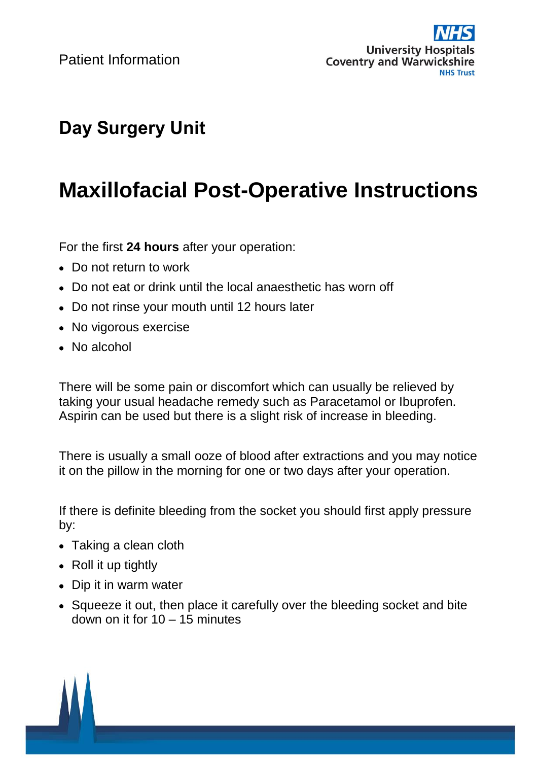Patient Information



## **Day Surgery Unit**

## **Maxillofacial Post-Operative Instructions**

For the first **24 hours** after your operation:

- Do not return to work
- Do not eat or drink until the local anaesthetic has worn off
- Do not rinse your mouth until 12 hours later
- No vigorous exercise
- No alcohol

There will be some pain or discomfort which can usually be relieved by taking your usual headache remedy such as Paracetamol or Ibuprofen. Aspirin can be used but there is a slight risk of increase in bleeding.

There is usually a small ooze of blood after extractions and you may notice it on the pillow in the morning for one or two days after your operation.

If there is definite bleeding from the socket you should first apply pressure by:

- Taking a clean cloth
- Roll it up tightly
- Dip it in warm water
- Squeeze it out, then place it carefully over the bleeding socket and bite down on it for 10 – 15 minutes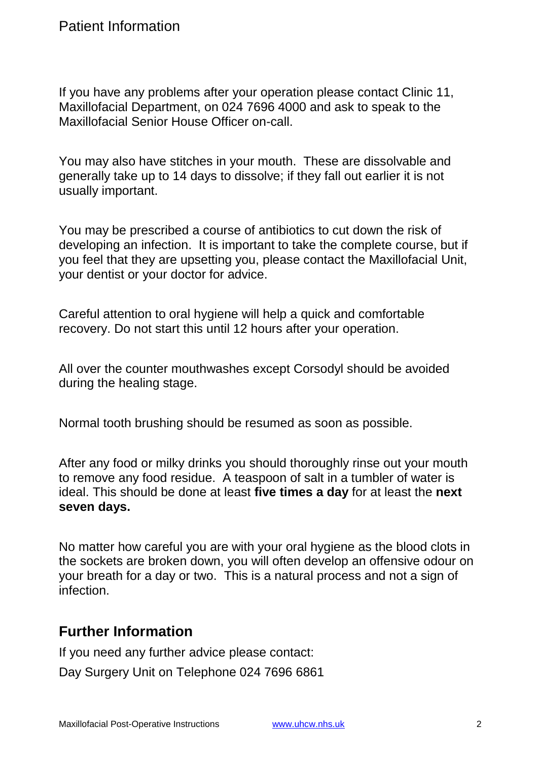If you have any problems after your operation please contact Clinic 11, Maxillofacial Department, on 024 7696 4000 and ask to speak to the Maxillofacial Senior House Officer on-call.

You may also have stitches in your mouth. These are dissolvable and generally take up to 14 days to dissolve; if they fall out earlier it is not usually important.

You may be prescribed a course of antibiotics to cut down the risk of developing an infection. It is important to take the complete course, but if you feel that they are upsetting you, please contact the Maxillofacial Unit, your dentist or your doctor for advice.

Careful attention to oral hygiene will help a quick and comfortable recovery. Do not start this until 12 hours after your operation.

All over the counter mouthwashes except Corsodyl should be avoided during the healing stage.

Normal tooth brushing should be resumed as soon as possible.

After any food or milky drinks you should thoroughly rinse out your mouth to remove any food residue. A teaspoon of salt in a tumbler of water is ideal. This should be done at least **five times a day** for at least the **next seven days.**

No matter how careful you are with your oral hygiene as the blood clots in the sockets are broken down, you will often develop an offensive odour on your breath for a day or two. This is a natural process and not a sign of infection.

## **Further Information**

If you need any further advice please contact:

Day Surgery Unit on Telephone 024 7696 6861